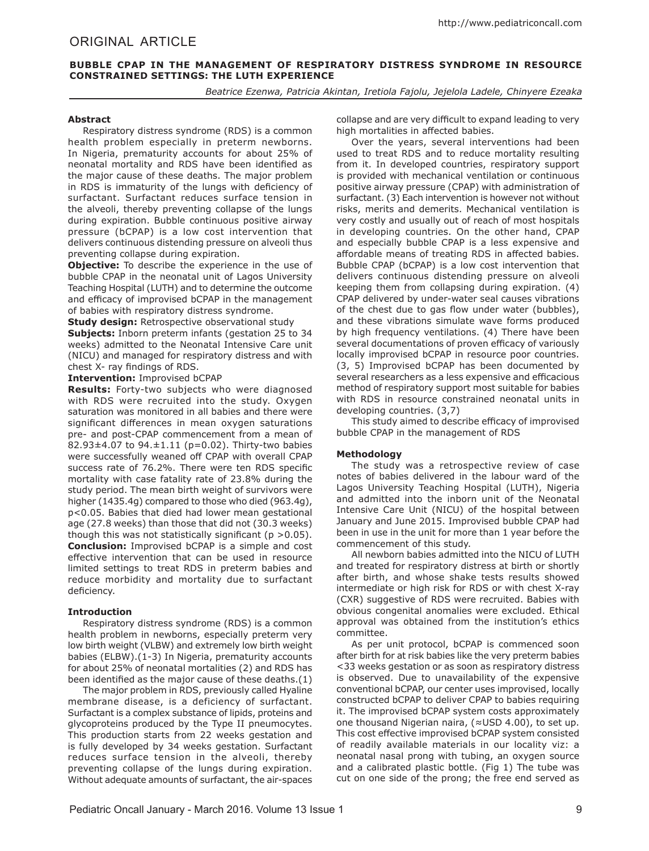# ORIGINAL ARTICLE

# **BUBBLE CPAP IN THE MANAGEMENT OF RESPIRATORY DISTRESS SYNDROME IN RESOURCE CONSTRAINED SETTINGS: THE LUTH EXPERIENCE**

*Beatrice Ezenwa, Patricia Akintan, Iretiola Fajolu, Jejelola Ladele, Chinyere Ezeaka*

## **Abstract**

Respiratory distress syndrome (RDS) is a common health problem especially in preterm newborns. In Nigeria, prematurity accounts for about 25% of neonatal mortality and RDS have been identified as the major cause of these deaths. The major problem in RDS is immaturity of the lungs with deficiency of surfactant. Surfactant reduces surface tension in the alveoli, thereby preventing collapse of the lungs during expiration. Bubble continuous positive airway pressure (bCPAP) is a low cost intervention that delivers continuous distending pressure on alveoli thus preventing collapse during expiration.

**Objective:** To describe the experience in the use of bubble CPAP in the neonatal unit of Lagos University Teaching Hospital (LUTH) and to determine the outcome and efficacy of improvised bCPAP in the management of babies with respiratory distress syndrome.

**Study design:** Retrospective observational study **Subjects:** Inborn preterm infants (gestation 25 to 34 weeks) admitted to the Neonatal Intensive Care unit (NICU) and managed for respiratory distress and with chest X- ray findings of RDS.

**Intervention:** Improvised bCPAP

**Results:** Forty-two subjects who were diagnosed with RDS were recruited into the study. Oxygen saturation was monitored in all babies and there were significant differences in mean oxygen saturations pre- and post-CPAP commencement from a mean of 82.93 $\pm$ 4.07 to 94. $\pm$ 1.11 (p=0.02). Thirty-two babies were successfully weaned off CPAP with overall CPAP success rate of 76.2%. There were ten RDS specific mortality with case fatality rate of 23.8% during the study period. The mean birth weight of survivors were higher (1435.4g) compared to those who died (963.4g), p<0.05. Babies that died had lower mean gestational age (27.8 weeks) than those that did not (30.3 weeks) though this was not statistically significant ( $p > 0.05$ ). **Conclusion:** Improvised bCPAP is a simple and cost effective intervention that can be used in resource limited settings to treat RDS in preterm babies and reduce morbidity and mortality due to surfactant deficiency.

# **Introduction**

Respiratory distress syndrome (RDS) is a common health problem in newborns, especially preterm very low birth weight (VLBW) and extremely low birth weight babies (ELBW).(1-3) In Nigeria, prematurity accounts for about 25% of neonatal mortalities (2) and RDS has been identified as the major cause of these deaths.(1)

The major problem in RDS, previously called Hyaline membrane disease, is a deficiency of surfactant. Surfactant is a complex substance of lipids, proteins and glycoproteins produced by the Type II pneumocytes. This production starts from 22 weeks gestation and is fully developed by 34 weeks gestation. Surfactant reduces surface tension in the alveoli, thereby preventing collapse of the lungs during expiration. Without adequate amounts of surfactant, the air-spaces

collapse and are very difficult to expand leading to very high mortalities in affected babies.

Over the years, several interventions had been used to treat RDS and to reduce mortality resulting from it. In developed countries, respiratory support is provided with mechanical ventilation or continuous positive airway pressure (CPAP) with administration of surfactant. (3) Each intervention is however not without risks, merits and demerits. Mechanical ventilation is very costly and usually out of reach of most hospitals in developing countries. On the other hand, CPAP and especially bubble CPAP is a less expensive and affordable means of treating RDS in affected babies. Bubble CPAP (bCPAP) is a low cost intervention that delivers continuous distending pressure on alveoli keeping them from collapsing during expiration. (4) CPAP delivered by under-water seal causes vibrations of the chest due to gas flow under water (bubbles), and these vibrations simulate wave forms produced by high frequency ventilations. (4) There have been several documentations of proven efficacy of variously locally improvised bCPAP in resource poor countries. (3, 5) Improvised bCPAP has been documented by several researchers as a less expensive and efficacious method of respiratory support most suitable for babies with RDS in resource constrained neonatal units in developing countries. (3,7)

This study aimed to describe efficacy of improvised bubble CPAP in the management of RDS

#### **Methodology**

The study was a retrospective review of case notes of babies delivered in the labour ward of the Lagos University Teaching Hospital (LUTH), Nigeria and admitted into the inborn unit of the Neonatal Intensive Care Unit (NICU) of the hospital between January and June 2015. Improvised bubble CPAP had been in use in the unit for more than 1 year before the commencement of this study.

All newborn babies admitted into the NICU of LUTH and treated for respiratory distress at birth or shortly after birth, and whose shake tests results showed intermediate or high risk for RDS or with chest X-ray (CXR) suggestive of RDS were recruited. Babies with obvious congenital anomalies were excluded. Ethical approval was obtained from the institution's ethics committee.

As per unit protocol, bCPAP is commenced soon after birth for at risk babies like the very preterm babies <33 weeks gestation or as soon as respiratory distress is observed. Due to unavailability of the expensive conventional bCPAP, our center uses improvised, locally constructed bCPAP to deliver CPAP to babies requiring it. The improvised bCPAP system costs approximately one thousand Nigerian naira, (≈USD 4.00), to set up. This cost effective improvised bCPAP system consisted of readily available materials in our locality viz: a neonatal nasal prong with tubing, an oxygen source and a calibrated plastic bottle. (Fig 1) The tube was cut on one side of the prong; the free end served as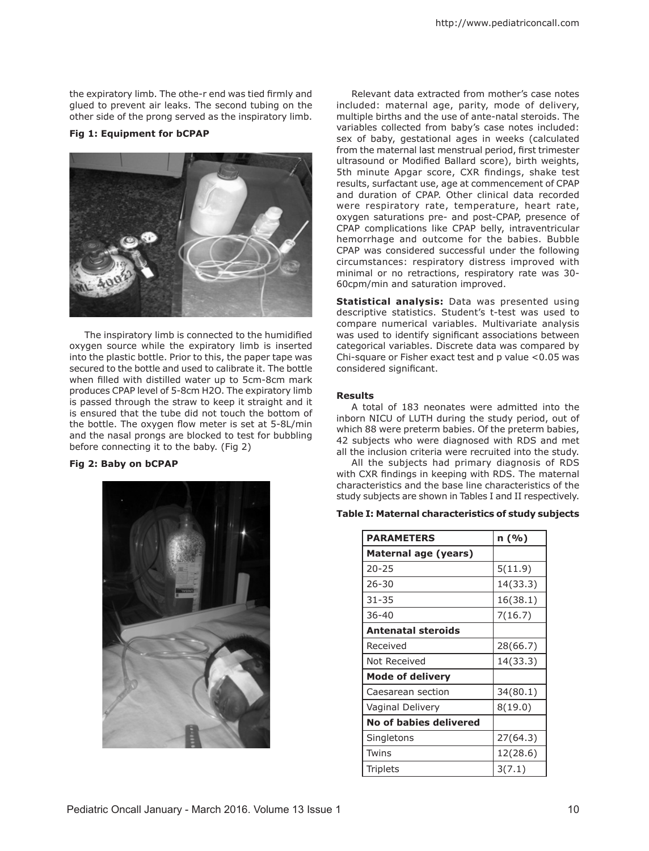the expiratory limb. The othe-r end was tied firmly and glued to prevent air leaks. The second tubing on the other side of the prong served as the inspiratory limb.

# **Fig 1: Equipment for bCPAP**



The inspiratory limb is connected to the humidified oxygen source while the expiratory limb is inserted into the plastic bottle. Prior to this, the paper tape was secured to the bottle and used to calibrate it. The bottle when filled with distilled water up to 5cm-8cm mark produces CPAP level of 5-8cm H2O. The expiratory limb is passed through the straw to keep it straight and it is ensured that the tube did not touch the bottom of the bottle. The oxygen flow meter is set at 5-8L/min and the nasal prongs are blocked to test for bubbling before connecting it to the baby. (Fig 2)

# **Fig 2: Baby on bCPAP**



Relevant data extracted from mother's case notes included: maternal age, parity, mode of delivery, multiple births and the use of ante-natal steroids. The variables collected from baby's case notes included: sex of baby, gestational ages in weeks (calculated from the maternal last menstrual period, first trimester ultrasound or Modified Ballard score), birth weights, 5th minute Apgar score, CXR findings, shake test results, surfactant use, age at commencement of CPAP and duration of CPAP. Other clinical data recorded were respiratory rate, temperature, heart rate, oxygen saturations pre- and post-CPAP, presence of CPAP complications like CPAP belly, intraventricular hemorrhage and outcome for the babies. Bubble CPAP was considered successful under the following circumstances: respiratory distress improved with minimal or no retractions, respiratory rate was 30- 60cpm/min and saturation improved.

**Statistical analysis:** Data was presented using descriptive statistics. Student's t-test was used to compare numerical variables. Multivariate analysis was used to identify significant associations between categorical variables. Discrete data was compared by Chi-square or Fisher exact test and p value <0.05 was considered significant.

## **Results**

A total of 183 neonates were admitted into the inborn NICU of LUTH during the study period, out of which 88 were preterm babies. Of the preterm babies, 42 subjects who were diagnosed with RDS and met all the inclusion criteria were recruited into the study.

All the subjects had primary diagnosis of RDS with CXR findings in keeping with RDS. The maternal characteristics and the base line characteristics of the study subjects are shown in Tables I and II respectively.

## **Table I: Maternal characteristics of study subjects**

| <b>PARAMETERS</b>       | n (%)    |
|-------------------------|----------|
| Maternal age (years)    |          |
| $20 - 25$               | 5(11.9)  |
| 26-30                   | 14(33.3) |
| 31-35                   | 16(38.1) |
| 36-40                   | 7(16.7)  |
| Antenatal steroids      |          |
| Received                | 28(66.7) |
| Not Received            | 14(33.3) |
| <b>Mode of delivery</b> |          |
| Caesarean section       | 34(80.1) |
| Vaginal Delivery        | 8(19.0)  |
| No of babies delivered  |          |
| Singletons              | 27(64.3) |
| Twins                   | 12(28.6) |
| Triplets                | 3(7.1)   |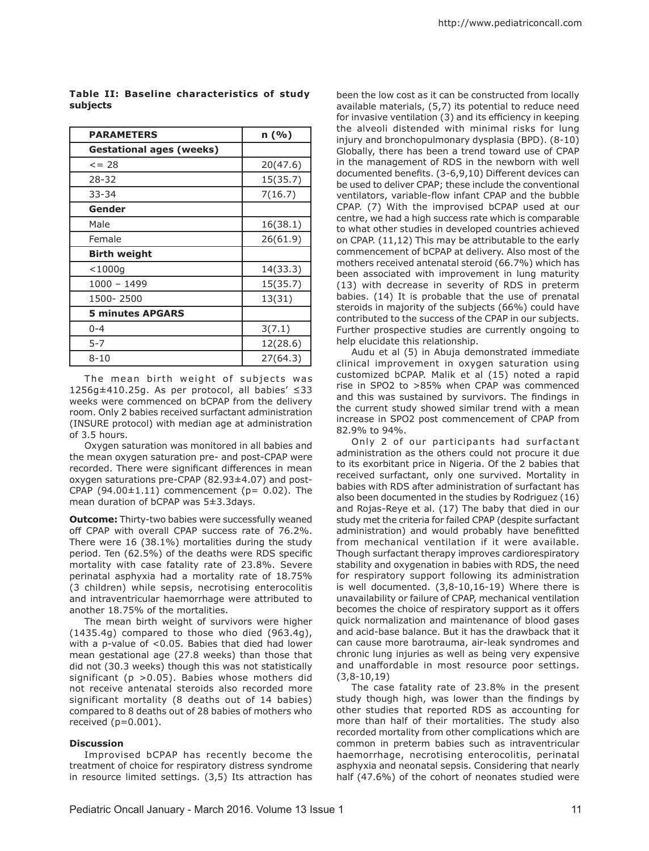| <b>PARAMETERS</b>               | n (%)    |
|---------------------------------|----------|
| <b>Gestational ages (weeks)</b> |          |
| $\leq$ = 28                     | 20(47.6) |
| 28-32                           | 15(35.7) |
| $33 - 34$                       | 7(16.7)  |
| Gender                          |          |
| Male                            | 16(38.1) |
| Female                          | 26(61.9) |
| <b>Birth weight</b>             |          |
| $<$ 1000q                       | 14(33.3) |
| 1000 - 1499                     | 15(35.7) |
| 1500-2500                       | 13(31)   |
| <b>5 minutes APGARS</b>         |          |
| $0 - 4$                         | 3(7.1)   |
| $5 - 7$                         | 12(28.6) |
| $8 - 10$                        | 27(64.3) |

**Table II: Baseline characteristics of study subjects**

The mean birth weight of subjects was 1256g±410.25g. As per protocol, all babies' ≤33 weeks were commenced on bCPAP from the delivery room. Only 2 babies received surfactant administration (INSURE protocol) with median age at administration of 3.5 hours.

Oxygen saturation was monitored in all babies and the mean oxygen saturation pre- and post-CPAP were recorded. There were significant differences in mean oxygen saturations pre-CPAP (82.93±4.07) and post-CPAP  $(94.00 \pm 1.11)$  commencement  $(p= 0.02)$ . The mean duration of bCPAP was 5±3.3days.

**Outcome:** Thirty-two babies were successfully weaned off CPAP with overall CPAP success rate of 76.2%. There were 16 (38.1%) mortalities during the study period. Ten (62.5%) of the deaths were RDS specific mortality with case fatality rate of 23.8%. Severe perinatal asphyxia had a mortality rate of 18.75% (3 children) while sepsis, necrotising enterocolitis and intraventricular haemorrhage were attributed to another 18.75% of the mortalities.

The mean birth weight of survivors were higher (1435.4g) compared to those who died (963.4g), with a p-value of <0.05. Babies that died had lower mean gestational age (27.8 weeks) than those that did not (30.3 weeks) though this was not statistically significant ( $p > 0.05$ ). Babies whose mothers did not receive antenatal steroids also recorded more significant mortality (8 deaths out of 14 babies) compared to 8 deaths out of 28 babies of mothers who received (p=0.001).

# **Discussion**

Improvised bCPAP has recently become the treatment of choice for respiratory distress syndrome in resource limited settings. (3,5) Its attraction has

been the low cost as it can be constructed from locally available materials, (5,7) its potential to reduce need for invasive ventilation (3) and its efficiency in keeping the alveoli distended with minimal risks for lung injury and bronchopulmonary dysplasia (BPD). (8-10) Globally, there has been a trend toward use of CPAP in the management of RDS in the newborn with well documented benefits. (3-6,9,10) Different devices can be used to deliver CPAP; these include the conventional ventilators, variable-flow infant CPAP and the bubble CPAP. (7) With the improvised bCPAP used at our centre, we had a high success rate which is comparable to what other studies in developed countries achieved on CPAP. (11,12) This may be attributable to the early commencement of bCPAP at delivery. Also most of the mothers received antenatal steroid (66.7%) which has been associated with improvement in lung maturity (13) with decrease in severity of RDS in preterm babies. (14) It is probable that the use of prenatal steroids in majority of the subjects (66%) could have contributed to the success of the CPAP in our subjects. Further prospective studies are currently ongoing to help elucidate this relationship.

Audu et al (5) in Abuja demonstrated immediate clinical improvement in oxygen saturation using customized bCPAP. Malik et al (15) noted a rapid rise in SPO2 to >85% when CPAP was commenced and this was sustained by survivors. The findings in the current study showed similar trend with a mean increase in SPO2 post commencement of CPAP from 82.9% to 94%.

Only 2 of our participants had surfactant administration as the others could not procure it due to its exorbitant price in Nigeria. Of the 2 babies that received surfactant, only one survived. Mortality in babies with RDS after administration of surfactant has also been documented in the studies by Rodriguez (16) and Rojas-Reye et al. (17) The baby that died in our study met the criteria for failed CPAP (despite surfactant administration) and would probably have benefitted from mechanical ventilation if it were available. Though surfactant therapy improves cardiorespiratory stability and oxygenation in babies with RDS, the need for respiratory support following its administration is well documented. (3,8-10,16-19) Where there is unavailability or failure of CPAP, mechanical ventilation becomes the choice of respiratory support as it offers quick normalization and maintenance of blood gases and acid-base balance. But it has the drawback that it can cause more barotrauma, air-leak syndromes and chronic lung injuries as well as being very expensive and unaffordable in most resource poor settings. (3,8-10,19)

The case fatality rate of 23.8% in the present study though high, was lower than the findings by other studies that reported RDS as accounting for more than half of their mortalities. The study also recorded mortality from other complications which are common in preterm babies such as intraventricular haemorrhage, necrotising enterocolitis, perinatal asphyxia and neonatal sepsis. Considering that nearly half (47.6%) of the cohort of neonates studied were